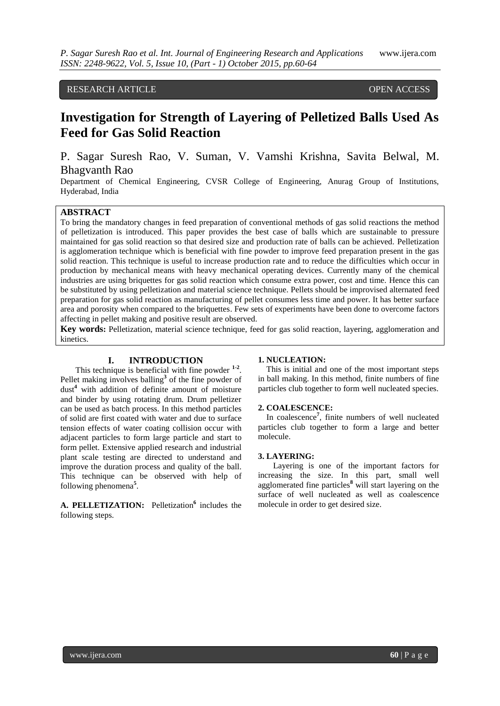# RESEARCH ARTICLE **CONTRACT ARTICLE**

# **Investigation for Strength of Layering of Pelletized Balls Used As Feed for Gas Solid Reaction**

# P. Sagar Suresh Rao, V. Suman, V. Vamshi Krishna, Savita Belwal, M. Bhagvanth Rao

Department of Chemical Engineering, CVSR College of Engineering, Anurag Group of Institutions, Hyderabad, India

#### **ABSTRACT**

To bring the mandatory changes in feed preparation of conventional methods of gas solid reactions the method of pelletization is introduced. This paper provides the best case of balls which are sustainable to pressure maintained for gas solid reaction so that desired size and production rate of balls can be achieved. Pelletization is agglomeration technique which is beneficial with fine powder to improve feed preparation present in the gas solid reaction. This technique is useful to increase production rate and to reduce the difficulties which occur in production by mechanical means with heavy mechanical operating devices. Currently many of the chemical industries are using briquettes for gas solid reaction which consume extra power, cost and time. Hence this can be substituted by using pelletization and material science technique. Pellets should be improvised alternated feed preparation for gas solid reaction as manufacturing of pellet consumes less time and power. It has better surface area and porosity when compared to the briquettes. Few sets of experiments have been done to overcome factors affecting in pellet making and positive result are observed.

**Key words:** Pelletization, material science technique, feed for gas solid reaction, layering, agglomeration and kinetics.

#### **I. INTRODUCTION**

This technique is beneficial with fine powder <sup>1-2</sup>. Pellet making involves balling**<sup>3</sup>** of the fine powder of dust**<sup>4</sup>** with addition of definite amount of moisture and binder by using rotating drum. Drum pelletizer can be used as batch process. In this method particles of solid are first coated with water and due to surface tension effects of water coating collision occur with adjacent particles to form large particle and start to form pellet. Extensive applied research and industrial plant scale testing are directed to understand and improve the duration process and quality of the ball. This technique can be observed with help of following phenomena**<sup>5</sup>** .

A. PELLETIZATION: Pelletization<sup>6</sup> includes the following steps.

#### **1. NUCLEATION:**

 This is initial and one of the most important steps in ball making. In this method, finite numbers of fine particles club together to form well nucleated species.

#### **2. COALESCENCE:**

 In coalescence**<sup>7</sup>** , finite numbers of well nucleated particles club together to form a large and better molecule.

#### **3. LAYERING:**

Layering is one of the important factors for increasing the size. In this part, small well agglomerated fine particles**<sup>8</sup>** will start layering on the surface of well nucleated as well as coalescence molecule in order to get desired size.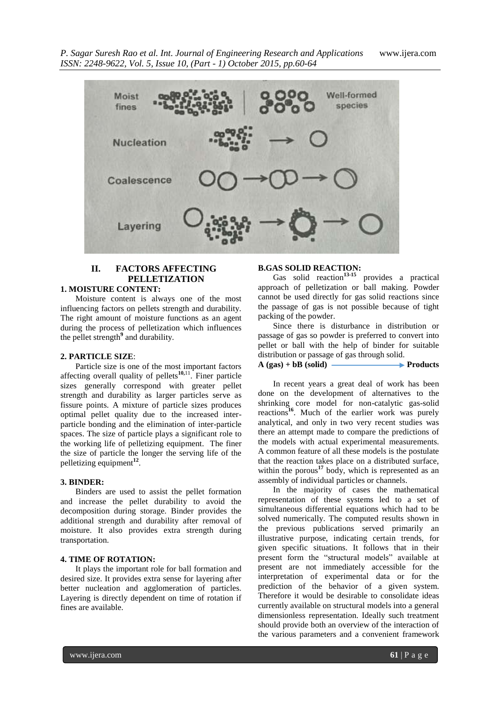

# **II. FACTORS AFFECTING PELLETIZATION**

# **1. MOISTURE CONTENT:**

Moisture content is always one of the most influencing factors on pellets strength and durability. The right amount of moisture functions as an agent during the process of pelletization which influences the pellet strength**<sup>9</sup>** and durability.

#### **2. PARTICLE SIZE**:

Particle size is one of the most important factors affecting overall quality of pellets**10,**<sup>11</sup> . Finer particle sizes generally correspond with greater pellet strength and durability as larger particles serve as fissure points. A mixture of particle sizes produces optimal pellet quality due to the increased interparticle bonding and the elimination of inter-particle spaces. The size of particle plays a significant role to the working life of pelletizing equipment. The finer the size of particle the longer the serving life of the pelletizing equipment**<sup>12</sup>** .

#### **3. BINDER:**

Binders are used to assist the pellet formation and increase the pellet durability to avoid the decomposition during storage. Binder provides the additional strength and durability after removal of moisture. It also provides extra strength during transportation.

### **4. TIME OF ROTATION:**

It plays the important role for ball formation and desired size. It provides extra sense for layering after better nucleation and agglomeration of particles. Layering is directly dependent on time of rotation if fines are available.

# **B.GAS SOLID REACTION:**

Gas solid reaction<sup>13-15</sup> provides a practical approach of pelletization or ball making. Powder cannot be used directly for gas solid reactions since the passage of gas is not possible because of tight packing of the powder.

Since there is disturbance in distribution or passage of gas so powder is preferred to convert into pellet or ball with the help of binder for suitable distribution or passage of gas through solid.  $A (gas) + bB (solid)$  Products

In recent years a great deal of work has been done on the development of alternatives to the shrinking core model for non-catalytic gas-solid reactions**<sup>16</sup>** . Much of the earlier work was purely analytical, and only in two very recent studies was there an attempt made to compare the predictions of the models with actual experimental measurements. A common feature of all these models is the postulate that the reaction takes place on a distributed surface, within the porous<sup>17</sup> body, which is represented as an assembly of individual particles or channels.

In the majority of cases the mathematical representation of these systems led to a set of simultaneous differential equations which had to be solved numerically. The computed results shown in the previous publications served primarily an illustrative purpose, indicating certain trends, for given specific situations. It follows that in their present form the "structural models" available at present are not immediately accessible for the interpretation of experimental data or for the prediction of the behavior of a given system. Therefore it would be desirable to consolidate ideas currently available on structural models into a general dimensionless representation. Ideally such treatment should provide both an overview of the interaction of the various parameters and a convenient framework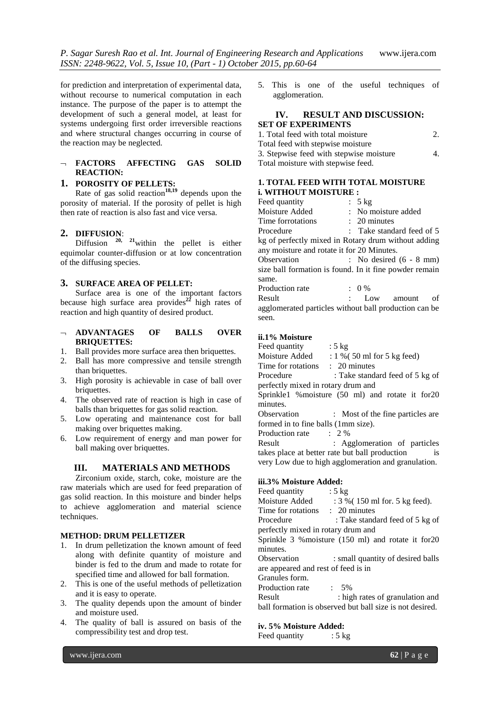for prediction and interpretation of experimental data, without recourse to numerical computation in each instance. The purpose of the paper is to attempt the development of such a general model, at least for systems undergoing first order irreversible reactions and where structural changes occurring in course of the reaction may be neglected.

#### **FACTORS AFFECTING GAS SOLID REACTION:**

# **1. POROSITY OF PELLETS:**

Rate of gas solid reaction<sup>18,19</sup> depends upon the porosity of material. If the porosity of pellet is high then rate of reaction is also fast and vice versa.

# **2. DIFFUSION**:

 $Diffusion$ <sup>20, 21</sup>within the pellet is either equimolar counter-diffusion or at low concentration of the diffusing species.

#### **3. SURFACE AREA OF PELLET:**

Surface area is one of the important factors because high surface area provides **<sup>22</sup>** high rates of reaction and high quantity of desired product.

- **ADVANTAGES OF BALLS OVER BRIQUETTES:**
- 1. Ball provides more surface area then briquettes.
- 2. Ball has more compressive and tensile strength than briquettes.
- 3. High porosity is achievable in case of ball over briquettes.
- 4. The observed rate of reaction is high in case of balls than briquettes for gas solid reaction.
- 5. Low operating and maintenance cost for ball making over briquettes making.
- 6. Low requirement of energy and man power for ball making over briquettes.

# **III. MATERIALS AND METHODS**

Zirconium oxide, starch, coke, moisture are the raw materials which are used for feed preparation of gas solid reaction. In this moisture and binder helps to achieve agglomeration and material science techniques.

#### **METHOD: DRUM PELLETIZER**

- 1. In drum pelletization the known amount of feed along with definite quantity of moisture and binder is fed to the drum and made to rotate for specified time and allowed for ball formation.
- 2. This is one of the useful methods of pelletization and it is easy to operate.
- 3. The quality depends upon the amount of binder and moisture used.
- 4. The quality of ball is assured on basis of the compressibility test and drop test.
- 5. This is one of the useful techniques of agglomeration.
- 

# **IV. RESULT AND DISCUSSION: SET OF EXPERIMENTS**

| 1. Total feed with total moisture       |                |
|-----------------------------------------|----------------|
| Total feed with stepwise moisture       |                |
| 3. Stepwise feed with stepwise moisture | 4 <sup>1</sup> |
| Total moisture with stepwise feed.      |                |

### **1. TOTAL FEED WITH TOTAL MOISTURE i. WITHOUT MOISTURE :**

| Feed quantity                                          | : 5 kg                      |  |
|--------------------------------------------------------|-----------------------------|--|
| Moisture Added                                         | : No moisture added         |  |
| Time forrotations                                      | $\therefore$ 20 minutes     |  |
| Procedure                                              | : Take standard feed of $5$ |  |
| kg of perfectly mixed in Rotary drum without adding    |                             |  |
| any moisture and rotate it for 20 Minutes.             |                             |  |
| Observation                                            | : No desired $(6 - 8$ mm)   |  |
| size ball formation is found. In it fine powder remain |                             |  |
| same.                                                  |                             |  |
| Production rate                                        | $: 0\%$                     |  |
| Result                                                 | : Low amount<br>of          |  |
| agglomerated particles without ball production can be  |                             |  |
| seen.                                                  |                             |  |

# **ii.1% Moisture**

| Feed quantity                                       | : $5 \text{ kg}$                                                |  |  |  |
|-----------------------------------------------------|-----------------------------------------------------------------|--|--|--|
| Moisture Added                                      | $: 1\%$ (50 ml for 5 kg feed)                                   |  |  |  |
| Time for rotations : 20 minutes                     |                                                                 |  |  |  |
| Procedure                                           | : Take standard feed of 5 kg of                                 |  |  |  |
| perfectly mixed in rotary drum and                  |                                                                 |  |  |  |
|                                                     | Sprinkle1 % moisture (50 ml) and rotate it for 20               |  |  |  |
| minutes.                                            |                                                                 |  |  |  |
| Observation                                         | : Most of the fine particles are                                |  |  |  |
| formed in to fine balls (1mm size).                 |                                                                 |  |  |  |
| Production rate                                     | $\therefore$ 2 %                                                |  |  |  |
| Result                                              | : Agglomeration of particles                                    |  |  |  |
|                                                     | takes place at better rate but ball production<br><sup>is</sup> |  |  |  |
| very Low due to high agglomeration and granulation. |                                                                 |  |  |  |
|                                                     |                                                                 |  |  |  |

#### **iii.3% Moisture Added:**

| Feed quantity                       | : $5 \text{ kg}$                                         |
|-------------------------------------|----------------------------------------------------------|
| Moisture Added                      | : 3 % (150 ml for. 5 kg feed).                           |
| Time for rotations                  | $\therefore$ 20 minutes                                  |
| Procedure                           | : Take standard feed of 5 kg of                          |
| perfectly mixed in rotary drum and  |                                                          |
|                                     | Sprinkle 3 % moisture (150 ml) and rotate it for 20      |
| minutes.                            |                                                          |
| Observation                         | : small quantity of desired balls                        |
| are appeared and rest of feed is in |                                                          |
| Granules form.                      |                                                          |
| Production rate                     | $.5\%$                                                   |
| Result                              | : high rates of granulation and                          |
|                                     | ball formation is observed but ball size is not desired. |
|                                     |                                                          |

#### **iv. 5% Moisture Added:**

Feed quantity : 5 kg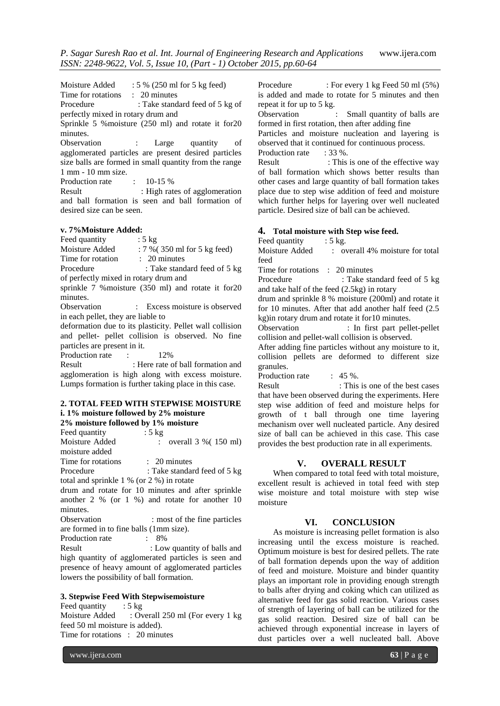Moisture Added : 5 % (250 ml for 5 kg feed) Time for rotations : 20 minutes Procedure : Take standard feed of 5 kg of perfectly mixed in rotary drum and Sprinkle 5 %moisture (250 ml) and rotate it for20 minutes. Observation : Large quantity of agglomerated particles are present desired particles size balls are formed in small quantity from the range 1 mm - 10 mm size. Production rate : 10-15 % Result : High rates of agglomeration and ball formation is seen and ball formation of desired size can be seen.

#### **v. 7%Moisture Added:**

Feed quantity : 5 kg Moisture Added : 7 % (350 ml for 5 kg feed) Time for rotation : 20 minutes Procedure : Take standard feed of 5 kg

of perfectly mixed in rotary drum and sprinkle 7 %moisture (350 ml) and rotate it for20

minutes.

Observation : Excess moisture is observed in each pellet, they are liable to

deformation due to its plasticity. Pellet wall collision and pellet- pellet collision is observed. No fine particles are present in it.

Production rate : 12%

Result : Here rate of ball formation and agglomeration is high along with excess moisture. Lumps formation is further taking place in this case.

# **2. TOTAL FEED WITH STEPWISE MOISTURE i. 1% moisture followed by 2% moisture**

| 2% moisture followed by 1% moisture                 |  |  |  |  |
|-----------------------------------------------------|--|--|--|--|
| Feed quantity<br>$: 5 \text{ kg}$                   |  |  |  |  |
| Moisture Added<br>overall $3\%$ (150 ml)            |  |  |  |  |
| moisture added                                      |  |  |  |  |
| Time for rotations<br>$\therefore$ 20 minutes       |  |  |  |  |
| Procedure<br>: Take standard feed of 5 kg           |  |  |  |  |
| total and sprinkle $1\%$ (or $2\%$ ) in rotate      |  |  |  |  |
| drum and rotate for 10 minutes and after sprinkle   |  |  |  |  |
| another $2\%$ (or $1\%$ ) and rotate for another 10 |  |  |  |  |
| minutes.                                            |  |  |  |  |
| Observation<br>: most of the fine particles         |  |  |  |  |
| are formed in to fine balls (1mm size).             |  |  |  |  |
| Production rate<br>$.8\%$                           |  |  |  |  |
| Result<br>: Low quantity of balls and               |  |  |  |  |
| high quantity of agglomerated particles is seen and |  |  |  |  |
| presence of heavy amount of agglomerated particles  |  |  |  |  |
| lowers the possibility of ball formation.           |  |  |  |  |

#### **3. Stepwise Feed With Stepwisemoisture**

Feed quantity : 5 kg Moisture Added : Overall 250 ml (For every 1 kg) feed 50 ml moisture is added). Time for rotations : 20 minutes

Procedure : For every 1 kg Feed 50 ml (5%) is added and made to rotate for 5 minutes and then repeat it for up to 5 kg.

Observation : Small quantity of balls are formed in first rotation, then after adding fine

Particles and moisture nucleation and layering is observed that it continued for continuous process.

Production rate : 33 %.

Result : This is one of the effective way of ball formation which shows better results than other cases and large quantity of ball formation takes place due to step wise addition of feed and moisture which further helps for layering over well nucleated particle. Desired size of ball can be achieved.

#### **4. Total moisture with Step wise feed.**

Feed quantity : 5 kg.

Moisture Added : overall 4% moisture for total feed

Time for rotations : 20 minutes

Procedure : Take standard feed of 5 kg and take half of the feed (2.5kg) in rotary

drum and sprinkle 8 % moisture (200ml) and rotate it for 10 minutes. After that add another half feed (2.5 kg)in rotary drum and rotate it for10 minutes.

Observation : In first part pellet-pellet collision and pellet-wall collision is observed.

After adding fine particles without any moisture to it, collision pellets are deformed to different size granules.

Production rate : 45 %.

Result : This is one of the best cases that have been observed during the experiments. Here step wise addition of feed and moisture helps for growth of t ball through one time layering mechanism over well nucleated particle. Any desired size of ball can be achieved in this case. This case provides the best production rate in all experiments.

# **V. OVERALL RESULT**

When compared to total feed with total moisture, excellent result is achieved in total feed with step wise moisture and total moisture with step wise moisture

#### **VI. CONCLUSION**

As moisture is increasing pellet formation is also increasing until the excess moisture is reached. Optimum moisture is best for desired pellets. The rate of ball formation depends upon the way of addition of feed and moisture. Moisture and binder quantity plays an important role in providing enough strength to balls after drying and coking which can utilized as alternative feed for gas solid reaction. Various cases of strength of layering of ball can be utilized for the gas solid reaction. Desired size of ball can be achieved through exponential increase in layers of dust particles over a well nucleated ball. Above